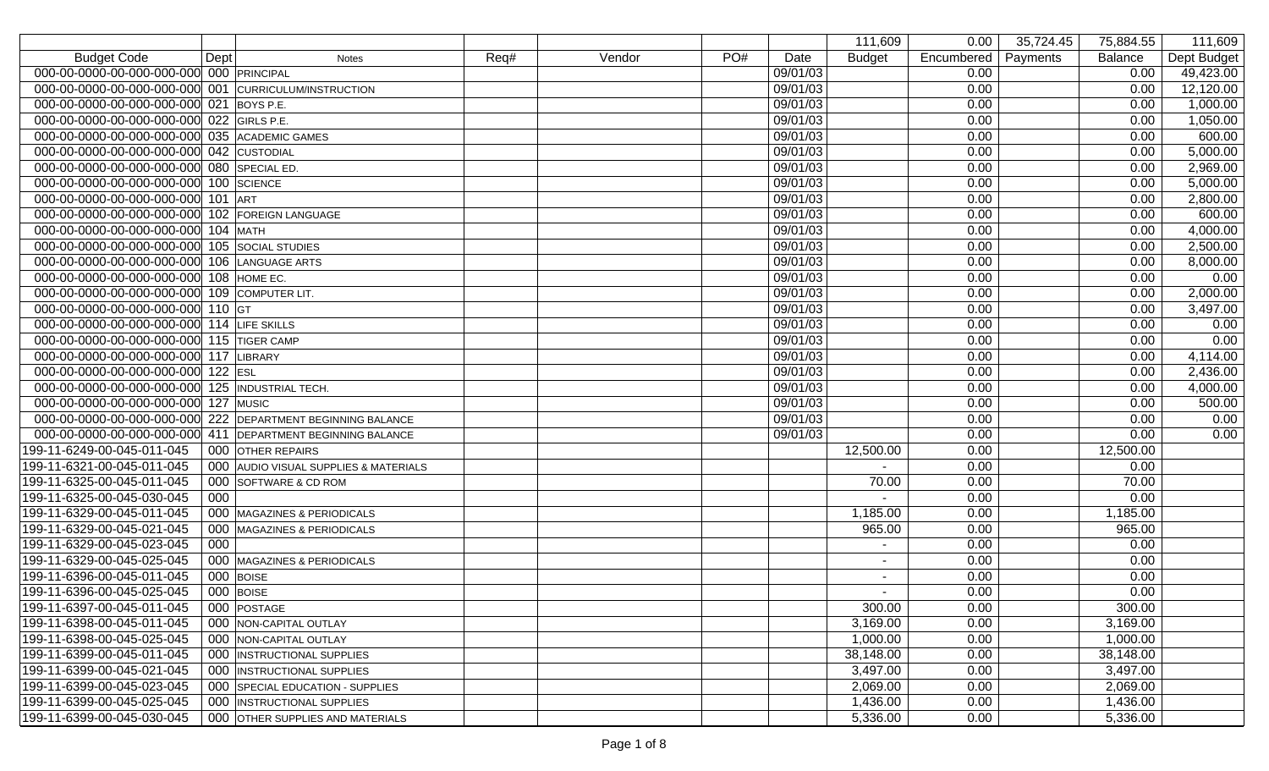|                                                             |                  |                                       |      |        |     |          | 111,609       | 0.00       | 35,724.45 | 75,884.55 | 111,609     |
|-------------------------------------------------------------|------------------|---------------------------------------|------|--------|-----|----------|---------------|------------|-----------|-----------|-------------|
| <b>Budget Code</b><br>Dept                                  |                  | <b>Notes</b>                          | Req# | Vendor | PO# | Date     | <b>Budget</b> | Encumbered | Payments  | Balance   | Dept Budget |
| 000-00-0000-00-000-000-000 000 PRINCIPAL                    |                  |                                       |      |        |     | 09/01/03 |               | 0.00       |           | 0.00      | 49,423.00   |
| 000-00-0000-00-000-000-000 001 CURRICULUM/INSTRUCTION       |                  |                                       |      |        |     | 09/01/03 |               | 0.00       |           | 0.00      | 12,120.00   |
| 000-00-0000-00-000-000-000 021 BOYS P.E.                    |                  |                                       |      |        |     | 09/01/03 |               | 0.00       |           | 0.00      | 1,000.00    |
| 000-00-0000-00-000-000-000 022 GIRLS P.E.                   |                  |                                       |      |        |     | 09/01/03 |               | 0.00       |           | 0.00      | 1,050.00    |
| 000-00-0000-00-000-000-000 035 ACADEMIC GAMES               |                  |                                       |      |        |     | 09/01/03 |               | 0.00       |           | 0.00      | 600.00      |
| 000-00-0000-00-000-000-000 042 CUSTODIAL                    |                  |                                       |      |        |     | 09/01/03 |               | 0.00       |           | 0.00      | 5,000.00    |
| 000-00-0000-00-000-000-000 080 SPECIAL ED.                  |                  |                                       |      |        |     | 09/01/03 |               | 0.00       |           | 0.00      | 2,969.00    |
| 000-00-0000-00-000-000-000 100 SCIENCE                      |                  |                                       |      |        |     | 09/01/03 |               | 0.00       |           | 0.00      | 5,000.00    |
| 000-00-0000-00-000-000-000                                  | $101$ ART        |                                       |      |        |     | 09/01/03 |               | 0.00       |           | 0.00      | 2,800.00    |
| 000-00-0000-00-000-000-000                                  |                  | 102 FOREIGN LANGUAGE                  |      |        |     | 09/01/03 |               | 0.00       |           | 0.00      | 600.00      |
| 000-00-0000-00-000-000-000                                  |                  | $104$ MATH                            |      |        |     | 09/01/03 |               | 0.00       |           | 0.00      | 4,000.00    |
| 000-00-0000-00-000-000-000                                  |                  | 105 SOCIAL STUDIES                    |      |        |     | 09/01/03 |               | 0.00       |           | 0.00      | 2,500.00    |
| 000-00-0000-00-000-000-000                                  |                  | 106 LANGUAGE ARTS                     |      |        |     | 09/01/03 |               | 0.00       |           | 0.00      | 8,000.00    |
| 000-00-0000-00-000-000-000                                  |                  | 108 HOME EC.                          |      |        |     | 09/01/03 |               | 0.00       |           | 0.00      | 0.00        |
| 000-00-0000-00-000-000-000 109 COMPUTER LIT.                |                  |                                       |      |        |     | 09/01/03 |               | 0.00       |           | 0.00      | 2,000.00    |
| 000-00-0000-00-000-000-000                                  | $110$ GT         |                                       |      |        |     | 09/01/03 |               | 0.00       |           | 0.00      | 3,497.00    |
| 000-00-0000-00-000-000-000 114 LIFE SKILLS                  |                  |                                       |      |        |     | 09/01/03 |               | 0.00       |           | 0.00      | 0.00        |
| 000-00-0000-00-000-000-000 115 TIGER CAMP                   |                  |                                       |      |        |     | 09/01/03 |               | 0.00       |           | 0.00      | 0.00        |
| 000-00-0000-00-000-000-000 117 LIBRARY                      |                  |                                       |      |        |     | 09/01/03 |               | 0.00       |           | 0.00      | 4,114.00    |
| 000-00-0000-00-000-000-000                                  | 122 $\left $ ESL |                                       |      |        |     | 09/01/03 |               | 0.00       |           | 0.00      | 2,436.00    |
| 000-00-0000-00-000-000-000 125 INDUSTRIAL TECH.             |                  |                                       |      |        |     | 09/01/03 |               | 0.00       |           | 0.00      | 4,000.00    |
| 000-00-0000-00-000-000-000                                  |                  | 127 MUSIC                             |      |        |     | 09/01/03 |               | 0.00       |           | 0.00      | 500.00      |
| 000-00-0000-00-000-000-000 222 DEPARTMENT BEGINNING BALANCE |                  |                                       |      |        |     | 09/01/03 |               | 0.00       |           | 0.00      | 0.00        |
| 000-00-0000-00-000-000-000                                  |                  | 411 DEPARTMENT BEGINNING BALANCE      |      |        |     | 09/01/03 |               | 0.00       |           | 0.00      | 0.00        |
| 199-11-6249-00-045-011-045                                  |                  | 000 OTHER REPAIRS                     |      |        |     |          | 12,500.00     | 0.00       |           | 12,500.00 |             |
| 199-11-6321-00-045-011-045                                  |                  | 000 AUDIO VISUAL SUPPLIES & MATERIALS |      |        |     |          |               | 0.00       |           | 0.00      |             |
| 199-11-6325-00-045-011-045                                  |                  | 000 SOFTWARE & CD ROM                 |      |        |     |          | 70.00         | 0.00       |           | 70.00     |             |
| 000<br>199-11-6325-00-045-030-045                           |                  |                                       |      |        |     |          |               | 0.00       |           | 0.00      |             |
| 199-11-6329-00-045-011-045                                  |                  | 000 MAGAZINES & PERIODICALS           |      |        |     |          | 1,185.00      | 0.00       |           | 1,185.00  |             |
| 199-11-6329-00-045-021-045                                  |                  | 000 MAGAZINES & PERIODICALS           |      |        |     |          | 965.00        | 0.00       |           | 965.00    |             |
| 199-11-6329-00-045-023-045<br>000                           |                  |                                       |      |        |     |          |               | 0.00       |           | 0.00      |             |
| 199-11-6329-00-045-025-045                                  |                  | 000 MAGAZINES & PERIODICALS           |      |        |     |          |               | 0.00       |           | 0.00      |             |
| 199-11-6396-00-045-011-045                                  |                  | 000 BOISE                             |      |        |     |          |               | 0.00       |           | 0.00      |             |
| 199-11-6396-00-045-025-045                                  |                  | 000 BOISE                             |      |        |     |          |               | 0.00       |           | 0.00      |             |
| 199-11-6397-00-045-011-045                                  |                  | 000 POSTAGE                           |      |        |     |          | 300.00        | 0.00       |           | 300.00    |             |
| 199-11-6398-00-045-011-045                                  |                  | 000 NON-CAPITAL OUTLAY                |      |        |     |          | 3,169.00      | 0.00       |           | 3,169.00  |             |
| 199-11-6398-00-045-025-045                                  |                  | 000 NON-CAPITAL OUTLAY                |      |        |     |          | 1,000.00      | 0.00       |           | 1,000.00  |             |
| 199-11-6399-00-045-011-045                                  |                  | 000 INSTRUCTIONAL SUPPLIES            |      |        |     |          | 38,148.00     | 0.00       |           | 38,148.00 |             |
| 199-11-6399-00-045-021-045                                  |                  | 000 INSTRUCTIONAL SUPPLIES            |      |        |     |          | 3,497.00      | 0.00       |           | 3,497.00  |             |
| 199-11-6399-00-045-023-045                                  |                  | 000 SPECIAL EDUCATION - SUPPLIES      |      |        |     |          | 2,069.00      | 0.00       |           | 2,069.00  |             |
| 199-11-6399-00-045-025-045                                  |                  | 000 INSTRUCTIONAL SUPPLIES            |      |        |     |          | 1,436.00      | 0.00       |           | 1,436.00  |             |
| 199-11-6399-00-045-030-045                                  |                  | 000 OTHER SUPPLIES AND MATERIALS      |      |        |     |          | 5,336.00      | 0.00       |           | 5,336.00  |             |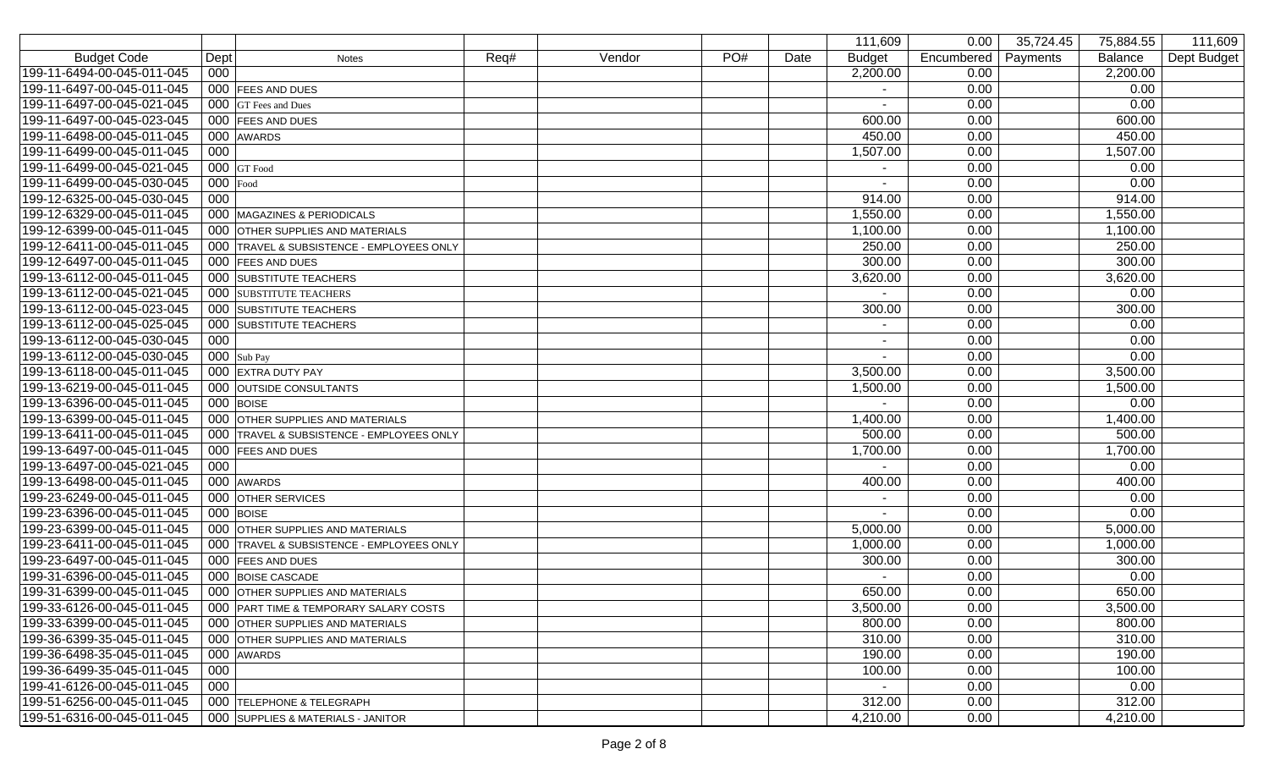|                            |            |                                           |      |        |     |      | 111,609       | 0.00       | 35,724.45<br>75,884.55 | 111,609     |
|----------------------------|------------|-------------------------------------------|------|--------|-----|------|---------------|------------|------------------------|-------------|
| <b>Budget Code</b>         | Dept       | <b>Notes</b>                              | Req# | Vendor | PO# | Date | <b>Budget</b> | Encumbered | Payments<br>Balance    | Dept Budget |
| 199-11-6494-00-045-011-045 | 000        |                                           |      |        |     |      | 2,200.00      | 0.00       | 2,200.00               |             |
| 199-11-6497-00-045-011-045 |            | 000 FEES AND DUES                         |      |        |     |      |               | 0.00       | 0.00                   |             |
| 199-11-6497-00-045-021-045 |            | 000 GT Fees and Dues                      |      |        |     |      |               | 0.00       | 0.00                   |             |
| 199-11-6497-00-045-023-045 |            | 000 FEES AND DUES                         |      |        |     |      | 600.00        | 0.00       | 600.00                 |             |
| 199-11-6498-00-045-011-045 |            | 000 AWARDS                                |      |        |     |      | 450.00        | 0.00       | 450.00                 |             |
| 199-11-6499-00-045-011-045 | 000        |                                           |      |        |     |      | 1,507.00      | 0.00       | 1,507.00               |             |
| 199-11-6499-00-045-021-045 |            | $000$ GT Food                             |      |        |     |      |               | 0.00       | 0.00                   |             |
| 199-11-6499-00-045-030-045 | $000$ Food |                                           |      |        |     |      |               | 0.00       | 0.00                   |             |
| 199-12-6325-00-045-030-045 | 000        |                                           |      |        |     |      | 914.00        | 0.00       | 914.00                 |             |
| 199-12-6329-00-045-011-045 |            | 000 MAGAZINES & PERIODICALS               |      |        |     |      | 1,550.00      | 0.00       | 1,550.00               |             |
| 199-12-6399-00-045-011-045 |            | 000 OTHER SUPPLIES AND MATERIALS          |      |        |     |      | 1,100.00      | 0.00       | 1,100.00               |             |
| 199-12-6411-00-045-011-045 |            | 000 TRAVEL & SUBSISTENCE - EMPLOYEES ONLY |      |        |     |      | 250.00        | 0.00       | 250.00                 |             |
| 199-12-6497-00-045-011-045 |            | 000 FEES AND DUES                         |      |        |     |      | 300.00        | 0.00       | 300.00                 |             |
| 199-13-6112-00-045-011-045 |            | 000 SUBSTITUTE TEACHERS                   |      |        |     |      | 3,620.00      | 0.00       | 3,620.00               |             |
| 199-13-6112-00-045-021-045 |            | 000 SUBSTITUTE TEACHERS                   |      |        |     |      |               | 0.00       | 0.00                   |             |
| 199-13-6112-00-045-023-045 |            | 000 SUBSTITUTE TEACHERS                   |      |        |     |      | 300.00        | 0.00       | 300.00                 |             |
| 199-13-6112-00-045-025-045 |            | 000 SUBSTITUTE TEACHERS                   |      |        |     |      |               | 0.00       | 0.00                   |             |
| 199-13-6112-00-045-030-045 | 000        |                                           |      |        |     |      |               | 0.00       | 0.00                   |             |
| 199-13-6112-00-045-030-045 |            | $000$ Sub Pay                             |      |        |     |      |               | 0.00       | 0.00                   |             |
| 199-13-6118-00-045-011-045 |            | 000 EXTRA DUTY PAY                        |      |        |     |      | 3,500.00      | 0.00       | 3,500.00               |             |
| 199-13-6219-00-045-011-045 |            | 000 OUTSIDE CONSULTANTS                   |      |        |     |      | 1,500.00      | 0.00       | 1,500.00               |             |
| 199-13-6396-00-045-011-045 |            | $000$ BOISE                               |      |        |     |      |               | 0.00       | 0.00                   |             |
| 199-13-6399-00-045-011-045 |            | 000 OTHER SUPPLIES AND MATERIALS          |      |        |     |      | 1,400.00      | 0.00       | 1,400.00               |             |
| 199-13-6411-00-045-011-045 |            | 000 TRAVEL & SUBSISTENCE - EMPLOYEES ONLY |      |        |     |      | 500.00        | 0.00       | 500.00                 |             |
| 199-13-6497-00-045-011-045 |            | 000 FEES AND DUES                         |      |        |     |      | 1,700.00      | 0.00       | 1,700.00               |             |
| 199-13-6497-00-045-021-045 | 000        |                                           |      |        |     |      |               | 0.00       | 0.00                   |             |
| 199-13-6498-00-045-011-045 |            | 000 AWARDS                                |      |        |     |      | 400.00        | 0.00       | 400.00                 |             |
| 199-23-6249-00-045-011-045 |            | 000 OTHER SERVICES                        |      |        |     |      |               | 0.00       | 0.00                   |             |
| 199-23-6396-00-045-011-045 |            | $000$ BOISE                               |      |        |     |      |               | 0.00       | 0.00                   |             |
| 199-23-6399-00-045-011-045 |            | 000 OTHER SUPPLIES AND MATERIALS          |      |        |     |      | 5,000.00      | 0.00       | 5,000.00               |             |
| 199-23-6411-00-045-011-045 |            | 000 TRAVEL & SUBSISTENCE - EMPLOYEES ONLY |      |        |     |      | 1,000.00      | 0.00       | 1,000.00               |             |
| 199-23-6497-00-045-011-045 |            | 000 FEES AND DUES                         |      |        |     |      | 300.00        | 0.00       | 300.00                 |             |
| 199-31-6396-00-045-011-045 |            | 000 BOISE CASCADE                         |      |        |     |      |               | 0.00       | 0.00                   |             |
| 199-31-6399-00-045-011-045 |            | 000 OTHER SUPPLIES AND MATERIALS          |      |        |     |      | 650.00        | 0.00       | 650.00                 |             |
| 199-33-6126-00-045-011-045 |            | 000 PART TIME & TEMPORARY SALARY COSTS    |      |        |     |      | 3,500.00      | 0.00       | 3,500.00               |             |
| 199-33-6399-00-045-011-045 |            | 000 OTHER SUPPLIES AND MATERIALS          |      |        |     |      | 800.00        | 0.00       | 800.00                 |             |
| 199-36-6399-35-045-011-045 |            | 000 OTHER SUPPLIES AND MATERIALS          |      |        |     |      | 310.00        | 0.00       | 310.00                 |             |
| 199-36-6498-35-045-011-045 |            | 000 AWARDS                                |      |        |     |      | 190.00        | 0.00       | 190.00                 |             |
| 199-36-6499-35-045-011-045 | 000        |                                           |      |        |     |      | 100.00        | 0.00       | 100.00                 |             |
| 199-41-6126-00-045-011-045 | 000        |                                           |      |        |     |      |               | 0.00       | 0.00                   |             |
| 199-51-6256-00-045-011-045 |            | 000 TELEPHONE & TELEGRAPH                 |      |        |     |      | 312.00        | 0.00       | 312.00                 |             |
| 199-51-6316-00-045-011-045 |            | 000 SUPPLIES & MATERIALS - JANITOR        |      |        |     |      | 4,210.00      | 0.00       | 4,210.00               |             |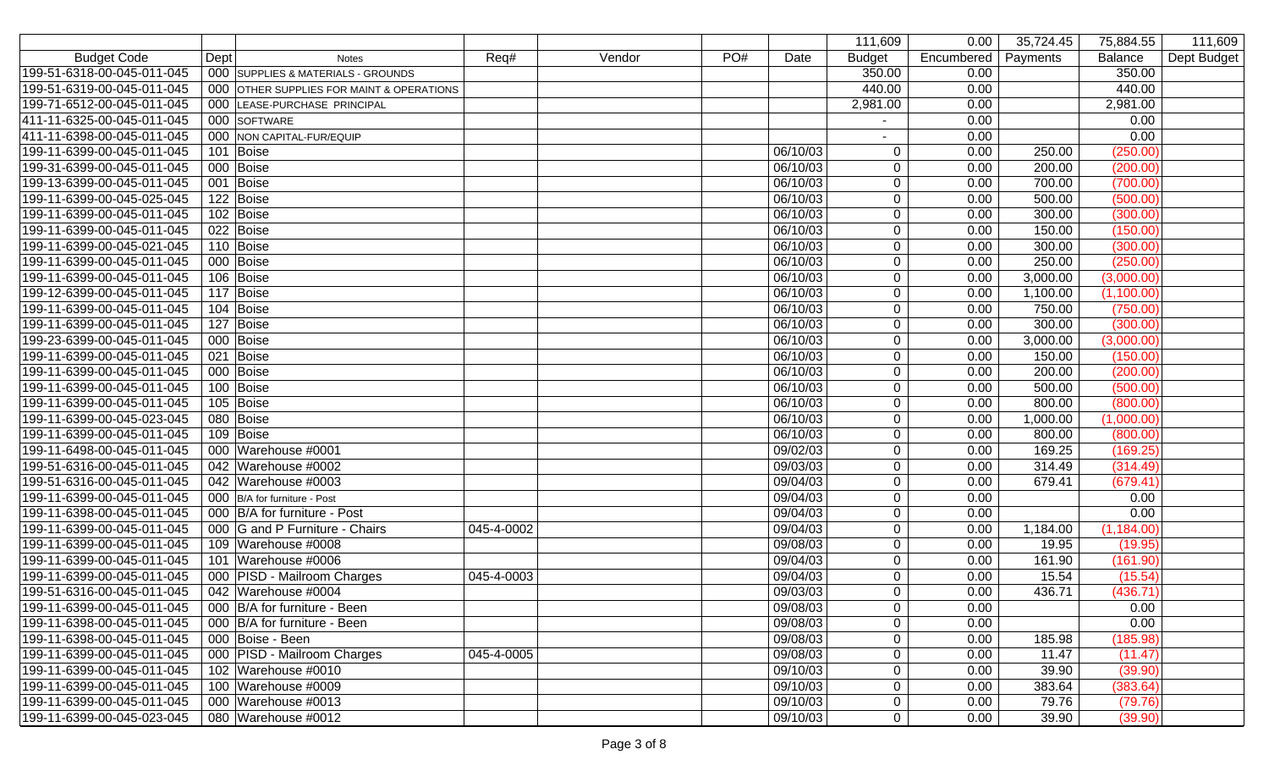|                            |                                           |            |        |     |          | 111,609       | 0.00       | 35,724.45 | 75,884.55      | 111,609     |
|----------------------------|-------------------------------------------|------------|--------|-----|----------|---------------|------------|-----------|----------------|-------------|
| <b>Budget Code</b>         | Dept<br><b>Notes</b>                      | Req#       | Vendor | PO# | Date     | <b>Budget</b> | Encumbered | Payments  | <b>Balance</b> | Dept Budget |
| 199-51-6318-00-045-011-045 | 000 SUPPLIES & MATERIALS - GROUNDS        |            |        |     |          | 350.00        | 0.00       |           | 350.00         |             |
| 199-51-6319-00-045-011-045 | 000 OTHER SUPPLIES FOR MAINT & OPERATIONS |            |        |     |          | 440.00        | 0.00       |           | 440.00         |             |
| 199-71-6512-00-045-011-045 | 000 LEASE-PURCHASE PRINCIPAL              |            |        |     |          | 2,981.00      | 0.00       |           | 2,981.00       |             |
| 411-11-6325-00-045-011-045 | 000 SOFTWARE                              |            |        |     |          |               | 0.00       |           | 0.00           |             |
| 411-11-6398-00-045-011-045 | 000 NON CAPITAL-FUR/EQUIP                 |            |        |     |          |               | 0.00       |           | 0.00           |             |
| 199-11-6399-00-045-011-045 | 101 Boise                                 |            |        |     | 06/10/03 | 0             | 0.00       | 250.00    | (250.00)       |             |
| 199-31-6399-00-045-011-045 | 000 Boise                                 |            |        |     | 06/10/03 | $\mathbf 0$   | 0.00       | 200.00    | (200.00)       |             |
| 199-13-6399-00-045-011-045 | 001 Boise                                 |            |        |     | 06/10/03 | $\mathbf 0$   | 0.00       | 700.00    | (700.00)       |             |
| 199-11-6399-00-045-025-045 | 122 Boise                                 |            |        |     | 06/10/03 | 0             | 0.00       | 500.00    | (500.00)       |             |
| 199-11-6399-00-045-011-045 | 102 Boise                                 |            |        |     | 06/10/03 | $\mathbf 0$   | 0.00       | 300.00    | (300.00)       |             |
| 199-11-6399-00-045-011-045 | 022 Boise                                 |            |        |     | 06/10/03 | $\mathbf 0$   | 0.00       | 150.00    | (150.00)       |             |
| 199-11-6399-00-045-021-045 | 110 Boise                                 |            |        |     | 06/10/03 | $\mathbf 0$   | 0.00       | 300.00    | (300.00)       |             |
| 199-11-6399-00-045-011-045 | 000 Boise                                 |            |        |     | 06/10/03 | $\mathbf 0$   | 0.00       | 250.00    | (250.00)       |             |
| 199-11-6399-00-045-011-045 | 106 Boise                                 |            |        |     | 06/10/03 | $\mathbf 0$   | 0.00       | 3,000.00  | (3,000.00)     |             |
| 199-12-6399-00-045-011-045 | 117 Boise                                 |            |        |     | 06/10/03 | $\mathbf 0$   | 0.00       | 1,100.00  | (1,100.00)     |             |
| 199-11-6399-00-045-011-045 | 104 Boise                                 |            |        |     | 06/10/03 | $\mathbf 0$   | 0.00       | 750.00    | (750.00)       |             |
| 199-11-6399-00-045-011-045 | 127 Boise                                 |            |        |     | 06/10/03 | $\mathbf 0$   | 0.00       | 300.00    | (300.00)       |             |
| 199-23-6399-00-045-011-045 | 000 Boise                                 |            |        |     | 06/10/03 | $\mathbf 0$   | 0.00       | 3,000.00  | (3,000.00)     |             |
| 199-11-6399-00-045-011-045 | 021 Boise                                 |            |        |     | 06/10/03 | $\mathbf 0$   | 0.00       | 150.00    | (150.00)       |             |
| 199-11-6399-00-045-011-045 | 000 Boise                                 |            |        |     | 06/10/03 | $\mathbf 0$   | 0.00       | 200.00    | (200.00)       |             |
| 199-11-6399-00-045-011-045 | 100 Boise                                 |            |        |     | 06/10/03 | $\mathbf 0$   | 0.00       | 500.00    | (500.00)       |             |
| 199-11-6399-00-045-011-045 | 105 Boise                                 |            |        |     | 06/10/03 | $\mathbf 0$   | 0.00       | 800.00    | (800.00)       |             |
| 199-11-6399-00-045-023-045 | 080 Boise                                 |            |        |     | 06/10/03 | $\mathbf 0$   | 0.00       | 1,000.00  | (1,000.00)     |             |
| 199-11-6399-00-045-011-045 | 109 Boise                                 |            |        |     | 06/10/03 | $\mathbf 0$   | 0.00       | 800.00    | (800.00)       |             |
| 199-11-6498-00-045-011-045 | 000 Warehouse #0001                       |            |        |     | 09/02/03 | $\mathbf 0$   | 0.00       | 169.25    | (169.25)       |             |
| 199-51-6316-00-045-011-045 | 042 Warehouse #0002                       |            |        |     | 09/03/03 | 0             | 0.00       | 314.49    | (314.49)       |             |
| 199-51-6316-00-045-011-045 | 042 Warehouse #0003                       |            |        |     | 09/04/03 | $\mathbf 0$   | 0.00       | 679.41    | (679.41)       |             |
| 199-11-6399-00-045-011-045 | 000 B/A for furniture - Post              |            |        |     | 09/04/03 | $\mathbf 0$   | 0.00       |           | 0.00           |             |
| 199-11-6398-00-045-011-045 | 000 B/A for furniture - Post              |            |        |     | 09/04/03 | 0             | 0.00       |           | 0.00           |             |
| 199-11-6399-00-045-011-045 | 000 G and P Furniture - Chairs            | 045-4-0002 |        |     | 09/04/03 | $\mathbf 0$   | 0.00       | 1,184.00  | (1, 184.00)    |             |
| 199-11-6399-00-045-011-045 | 109 Warehouse #0008                       |            |        |     | 09/08/03 | $\mathbf 0$   | 0.00       | 19.95     | (19.95)        |             |
| 199-11-6399-00-045-011-045 | 101 Warehouse #0006                       |            |        |     | 09/04/03 | $\mathbf 0$   | 0.00       | 161.90    | (161.90)       |             |
| 199-11-6399-00-045-011-045 | 000 PISD - Mailroom Charges               | 045-4-0003 |        |     | 09/04/03 | $\mathbf 0$   | 0.00       | 15.54     | (15.54)        |             |
| 199-51-6316-00-045-011-045 | 042 Warehouse #0004                       |            |        |     | 09/03/03 | 0             | 0.00       | 436.71    | (436.71)       |             |
| 199-11-6399-00-045-011-045 | 000 B/A for furniture - Been              |            |        |     | 09/08/03 | 0             | 0.00       |           | 0.00           |             |
| 199-11-6398-00-045-011-045 | 000 B/A for furniture - Been              |            |        |     | 09/08/03 | 0             | 0.00       |           | 0.00           |             |
| 199-11-6398-00-045-011-045 | 000 Boise - Been                          |            |        |     | 09/08/03 | 0             | 0.00       | 185.98    | (185.98)       |             |
| 199-11-6399-00-045-011-045 | 000 PISD - Mailroom Charges               | 045-4-0005 |        |     | 09/08/03 | $\mathbf 0$   | 0.00       | 11.47     | (11.47)        |             |
| 199-11-6399-00-045-011-045 | 102 Warehouse #0010                       |            |        |     | 09/10/03 | 0             | 0.00       | 39.90     | (39.90)        |             |
| 199-11-6399-00-045-011-045 | 100 Warehouse #0009                       |            |        |     | 09/10/03 | 0             | 0.00       | 383.64    | (383.64)       |             |
| 199-11-6399-00-045-011-045 | 000 Warehouse #0013                       |            |        |     | 09/10/03 | 0             | 0.00       | 79.76     | (79.76)        |             |
| 199-11-6399-00-045-023-045 | 080 Warehouse #0012                       |            |        |     | 09/10/03 | 0             | 0.00       | 39.90     | (39.90)        |             |
|                            |                                           |            |        |     |          |               |            |           |                |             |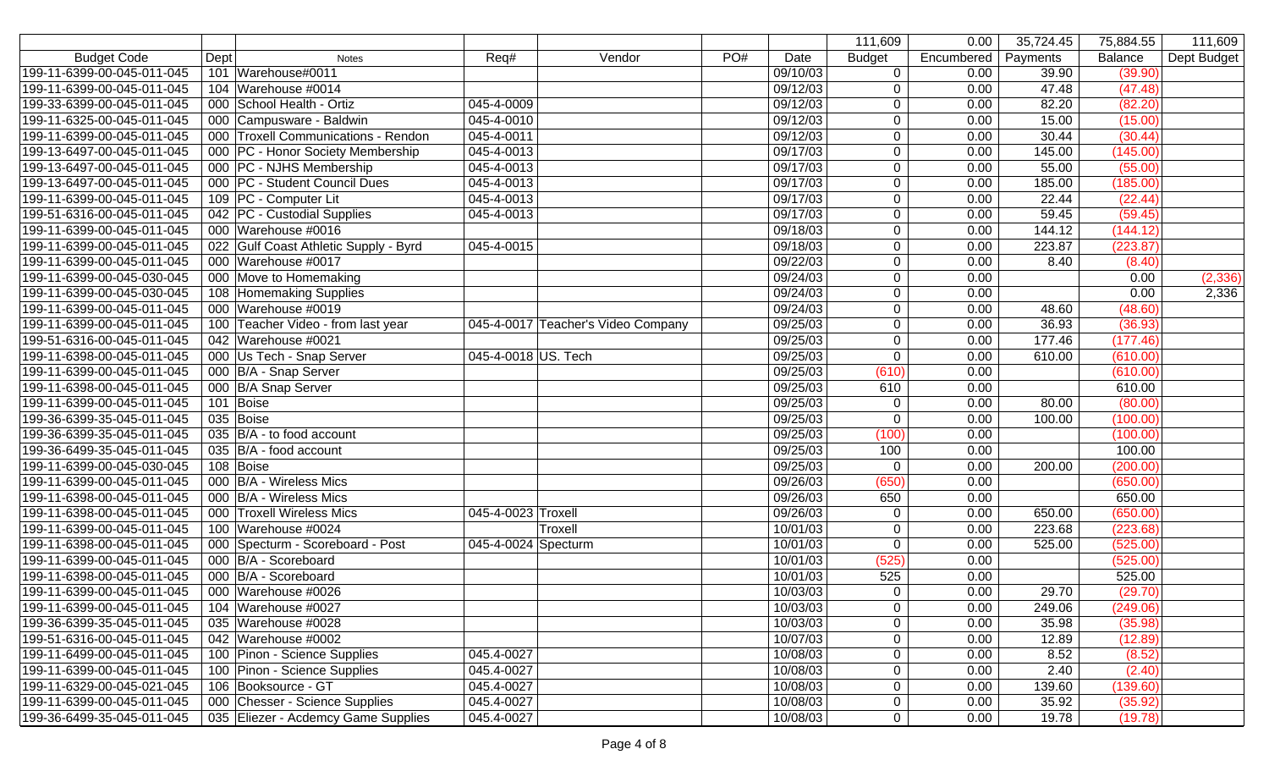|                            |                                       |                     |                                    |     |          | 111,609       | 0.00       | 35,724.45 | 75,884.55 | 111,609     |
|----------------------------|---------------------------------------|---------------------|------------------------------------|-----|----------|---------------|------------|-----------|-----------|-------------|
| <b>Budget Code</b>         | Dept<br><b>Notes</b>                  | Req#                | Vendor                             | PO# | Date     | <b>Budget</b> | Encumbered | Payments  | Balance   | Dept Budget |
| 199-11-6399-00-045-011-045 | 101 Warehouse#0011                    |                     |                                    |     | 09/10/03 | $\mathbf 0$   | 0.00       | 39.90     | (39.90)   |             |
| 199-11-6399-00-045-011-045 | 104 Warehouse #0014                   |                     |                                    |     | 09/12/03 | $\mathbf 0$   | 0.00       | 47.48     | (47.48)   |             |
| 199-33-6399-00-045-011-045 | 000 School Health - Ortiz             | 045-4-0009          |                                    |     | 09/12/03 | $\mathbf 0$   | 0.00       | 82.20     | (82.20)   |             |
| 199-11-6325-00-045-011-045 | 000 Campusware - Baldwin              | 045-4-0010          |                                    |     | 09/12/03 | $\mathbf 0$   | 0.00       | 15.00     | (15.00)   |             |
| 199-11-6399-00-045-011-045 | 000 Troxell Communications - Rendon   | 045-4-0011          |                                    |     | 09/12/03 | $\mathbf 0$   | 0.00       | 30.44     | (30.44)   |             |
| 199-13-6497-00-045-011-045 | 000 PC - Honor Society Membership     | 045-4-0013          |                                    |     | 09/17/03 | $\mathbf 0$   | 0.00       | 145.00    | (145.00)  |             |
| 199-13-6497-00-045-011-045 | 000 PC - NJHS Membership              | 045-4-0013          |                                    |     | 09/17/03 | $\mathbf 0$   | 0.00       | 55.00     | (55.00)   |             |
| 199-13-6497-00-045-011-045 | 000 PC - Student Council Dues         | 045-4-0013          |                                    |     | 09/17/03 | $\mathbf 0$   | 0.00       | 185.00    | (185.00)  |             |
| 199-11-6399-00-045-011-045 | 109 PC - Computer Lit                 | 045-4-0013          |                                    |     | 09/17/03 | $\mathbf 0$   | 0.00       | 22.44     | (22.44)   |             |
| 199-51-6316-00-045-011-045 | 042 PC - Custodial Supplies           | 045-4-0013          |                                    |     | 09/17/03 | $\mathbf 0$   | 0.00       | 59.45     | (59.45)   |             |
| 199-11-6399-00-045-011-045 | 000 Warehouse #0016                   |                     |                                    |     | 09/18/03 | $\mathbf 0$   | 0.00       | 144.12    | (144.12)  |             |
| 199-11-6399-00-045-011-045 | 022 Gulf Coast Athletic Supply - Byrd | 045-4-0015          |                                    |     | 09/18/03 | $\mathbf 0$   | 0.00       | 223.87    | (223.87)  |             |
| 199-11-6399-00-045-011-045 | 000 Warehouse #0017                   |                     |                                    |     | 09/22/03 | $\mathbf 0$   | 0.00       | 8.40      | (8.40)    |             |
| 199-11-6399-00-045-030-045 | 000 Move to Homemaking                |                     |                                    |     | 09/24/03 | $\mathbf 0$   | 0.00       |           | 0.00      | (2, 336)    |
| 199-11-6399-00-045-030-045 | 108 Homemaking Supplies               |                     |                                    |     | 09/24/03 | $\mathbf 0$   | 0.00       |           | 0.00      | 2,336       |
| 199-11-6399-00-045-011-045 | 000 Warehouse #0019                   |                     |                                    |     | 09/24/03 | $\mathbf 0$   | 0.00       | 48.60     | (48.60)   |             |
| 199-11-6399-00-045-011-045 | 100 Teacher Video - from last year    |                     | 045-4-0017 Teacher's Video Company |     | 09/25/03 | $\mathbf 0$   | 0.00       | 36.93     | (36.93)   |             |
| 199-51-6316-00-045-011-045 | 042 Warehouse #0021                   |                     |                                    |     | 09/25/03 | $\mathbf 0$   | 0.00       | 177.46    | (177.46)  |             |
| 199-11-6398-00-045-011-045 | 000 Us Tech - Snap Server             | 045-4-0018 US. Tech |                                    |     | 09/25/03 | $\mathbf 0$   | 0.00       | 610.00    | (610.00)  |             |
| 199-11-6399-00-045-011-045 | 000 B/A - Snap Server                 |                     |                                    |     | 09/25/03 | (610)         | 0.00       |           | (610.00)  |             |
| 199-11-6398-00-045-011-045 | 000 B/A Snap Server                   |                     |                                    |     | 09/25/03 | 610           | 0.00       |           | 610.00    |             |
| 199-11-6399-00-045-011-045 | 101 Boise                             |                     |                                    |     | 09/25/03 | $\mathbf 0$   | 0.00       | 80.00     | (80.00)   |             |
| 199-36-6399-35-045-011-045 | 035 Boise                             |                     |                                    |     | 09/25/03 | $\mathbf 0$   | 0.00       | 100.00    | (100.00)  |             |
| 199-36-6399-35-045-011-045 | 035 B/A - to food account             |                     |                                    |     | 09/25/03 | (100)         | 0.00       |           | (100.00)  |             |
| 199-36-6499-35-045-011-045 | 035 B/A - food account                |                     |                                    |     | 09/25/03 | 100           | 0.00       |           | 100.00    |             |
| 199-11-6399-00-045-030-045 | 108 Boise                             |                     |                                    |     | 09/25/03 | $\mathbf 0$   | 0.00       | 200.00    | (200.00)  |             |
| 199-11-6399-00-045-011-045 | 000 B/A - Wireless Mics               |                     |                                    |     | 09/26/03 | (650)         | 0.00       |           | (650.00)  |             |
| 199-11-6398-00-045-011-045 | 000 B/A - Wireless Mics               |                     |                                    |     | 09/26/03 | 650           | 0.00       |           | 650.00    |             |
| 199-11-6398-00-045-011-045 | 000 Troxell Wireless Mics             | 045-4-0023 Troxell  |                                    |     | 09/26/03 | $\mathbf 0$   | 0.00       | 650.00    | (650.00)  |             |
| 199-11-6399-00-045-011-045 | 100 Warehouse #0024                   |                     | Troxell                            |     | 10/01/03 | $\pmb{0}$     | 0.00       | 223.68    | (223.68)  |             |
| 199-11-6398-00-045-011-045 | 000 Specturm - Scoreboard - Post      | 045-4-0024 Specturm |                                    |     | 10/01/03 | $\mathbf 0$   | 0.00       | 525.00    | (525.00)  |             |
| 199-11-6399-00-045-011-045 | 000 B/A - Scoreboard                  |                     |                                    |     | 10/01/03 | (525)         | 0.00       |           | (525.00)  |             |
| 199-11-6398-00-045-011-045 | 000 B/A - Scoreboard                  |                     |                                    |     | 10/01/03 | 525           | 0.00       |           | 525.00    |             |
| 199-11-6399-00-045-011-045 | 000 Warehouse #0026                   |                     |                                    |     | 10/03/03 | $\mathbf 0$   | 0.00       | 29.70     | (29.70)   |             |
| 199-11-6399-00-045-011-045 | 104 Warehouse #0027                   |                     |                                    |     | 10/03/03 | $\mathbf 0$   | 0.00       | 249.06    | (249.06)  |             |
| 199-36-6399-35-045-011-045 | 035 Warehouse #0028                   |                     |                                    |     | 10/03/03 | 0             | 0.00       | 35.98     | (35.98)   |             |
| 199-51-6316-00-045-011-045 | 042 Warehouse #0002                   |                     |                                    |     | 10/07/03 | $\mathbf 0$   | 0.00       | 12.89     | (12.89)   |             |
| 199-11-6499-00-045-011-045 | 100 Pinon - Science Supplies          | 045.4-0027          |                                    |     | 10/08/03 | $\mathbf 0$   | 0.00       | 8.52      | (8.52)    |             |
| 199-11-6399-00-045-011-045 | 100 Pinon - Science Supplies          | 045.4-0027          |                                    |     | 10/08/03 | $\mathbf 0$   | 0.00       | 2.40      | (2.40)    |             |
| 199-11-6329-00-045-021-045 | 106 Booksource - GT                   | 045.4-0027          |                                    |     | 10/08/03 | $\mathbf 0$   | 0.00       | 139.60    | (139.60)  |             |
| 199-11-6399-00-045-011-045 | 000 Chesser - Science Supplies        | 045.4-0027          |                                    |     | 10/08/03 | $\mathbf 0$   | 0.00       | 35.92     | (35.92)   |             |
| 199-36-6499-35-045-011-045 | 035 Eliezer - Acdemcy Game Supplies   | 045.4-0027          |                                    |     | 10/08/03 | $\mathbf 0$   | 0.00       | 19.78     | (19.78)   |             |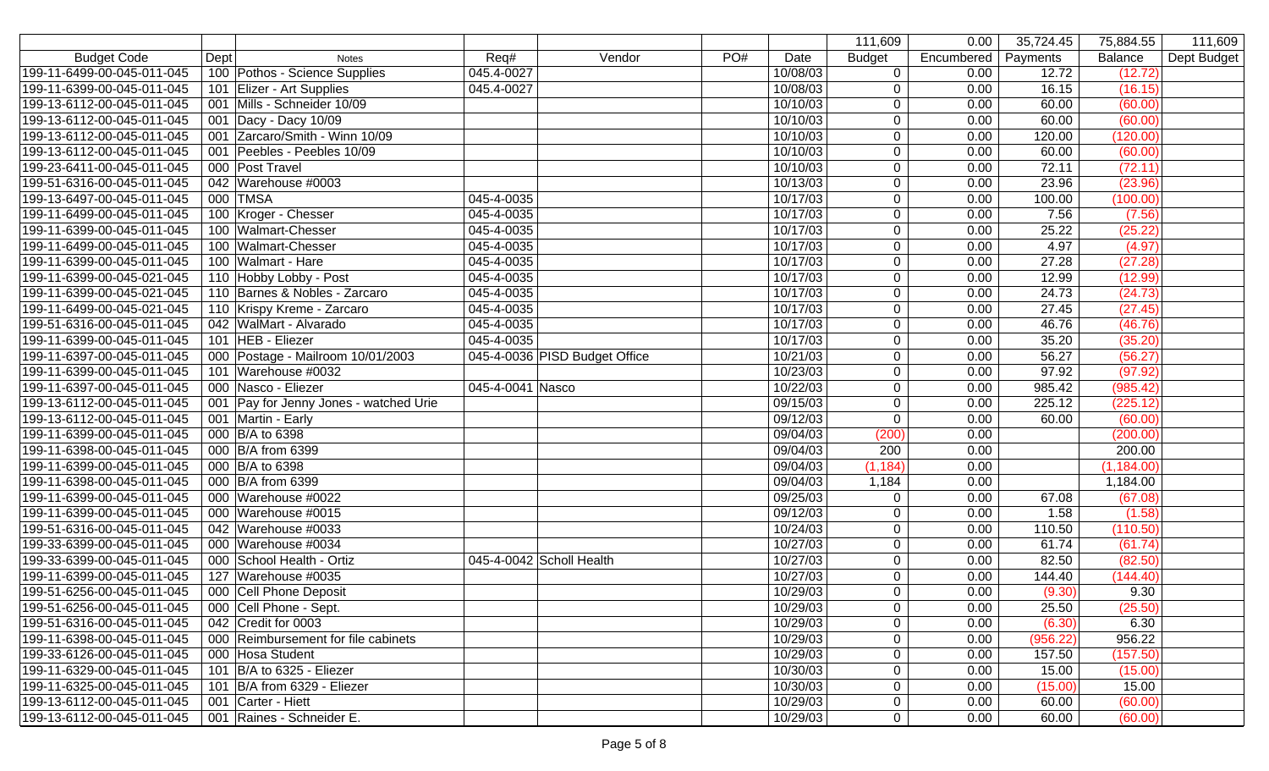|                            |                                        |                  |                               |     |          | 111,609          | 0.00       | 35,724.45 | 75,884.55      | 111,609     |
|----------------------------|----------------------------------------|------------------|-------------------------------|-----|----------|------------------|------------|-----------|----------------|-------------|
| <b>Budget Code</b>         | Dept<br><b>Notes</b>                   | Req#             | Vendor                        | PO# | Date     | <b>Budget</b>    | Encumbered | Payments  | <b>Balance</b> | Dept Budget |
| 199-11-6499-00-045-011-045 | 100 Pothos - Science Supplies          | 045.4-0027       |                               |     | 10/08/03 | $\mathbf 0$      | 0.00       | 12.72     | (12.72)        |             |
| 199-11-6399-00-045-011-045 | 101 Elizer - Art Supplies              | 045.4-0027       |                               |     | 10/08/03 | $\mathbf 0$      | 0.00       | 16.15     | (16.15)        |             |
| 199-13-6112-00-045-011-045 | 001 Mills - Schneider 10/09            |                  |                               |     | 10/10/03 | $\overline{0}$   | 0.00       | 60.00     | (60.00)        |             |
| 199-13-6112-00-045-011-045 | 001 Dacy - Dacy 10/09                  |                  |                               |     | 10/10/03 | $\mathbf 0$      | 0.00       | 60.00     | (60.00)        |             |
| 199-13-6112-00-045-011-045 | 001 Zarcaro/Smith - Winn 10/09         |                  |                               |     | 10/10/03 | $\mathbf 0$      | 0.00       | 120.00    | (120.00)       |             |
| 199-13-6112-00-045-011-045 | 001 Peebles - Peebles 10/09            |                  |                               |     | 10/10/03 | $\mathbf 0$      | 0.00       | 60.00     | (60.00)        |             |
| 199-23-6411-00-045-011-045 | 000 Post Travel                        |                  |                               |     | 10/10/03 | $\mathbf 0$      | 0.00       | 72.11     | (72.11)        |             |
| 199-51-6316-00-045-011-045 | 042 Warehouse #0003                    |                  |                               |     | 10/13/03 | $\mathbf 0$      | 0.00       | 23.96     | (23.96)        |             |
| 199-13-6497-00-045-011-045 | 000 TMSA                               | 045-4-0035       |                               |     | 10/17/03 | $\mathbf 0$      | 0.00       | 100.00    | (100.00)       |             |
| 199-11-6499-00-045-011-045 | 100 Kroger - Chesser                   | 045-4-0035       |                               |     | 10/17/03 | $\mathbf 0$      | 0.00       | 7.56      | (7.56)         |             |
| 199-11-6399-00-045-011-045 | 100 Walmart-Chesser                    | 045-4-0035       |                               |     | 10/17/03 | $\mathbf 0$      | 0.00       | 25.22     | (25.22)        |             |
| 199-11-6499-00-045-011-045 | 100 Walmart-Chesser                    | 045-4-0035       |                               |     | 10/17/03 | $\mathbf 0$      | 0.00       | 4.97      | (4.97)         |             |
| 199-11-6399-00-045-011-045 | 100 Walmart - Hare                     | 045-4-0035       |                               |     | 10/17/03 | $\mathbf 0$      | 0.00       | 27.28     | (27.28)        |             |
| 199-11-6399-00-045-021-045 | 110 Hobby Lobby - Post                 | 045-4-0035       |                               |     | 10/17/03 | $\mathbf 0$      | 0.00       | 12.99     | (12.99)        |             |
| 199-11-6399-00-045-021-045 | 110 Barnes & Nobles - Zarcaro          | 045-4-0035       |                               |     | 10/17/03 | $\mathbf 0$      | 0.00       | 24.73     | (24.73)        |             |
| 199-11-6499-00-045-021-045 | 110 Krispy Kreme - Zarcaro             | 045-4-0035       |                               |     | 10/17/03 | $\mathbf 0$      | 0.00       | 27.45     | (27.45)        |             |
| 199-51-6316-00-045-011-045 | 042 WalMart - Alvarado                 | 045-4-0035       |                               |     | 10/17/03 | $\mathbf 0$      | 0.00       | 46.76     | (46.76)        |             |
| 199-11-6399-00-045-011-045 | 101 HEB - Eliezer                      | 045-4-0035       |                               |     | 10/17/03 | $\mathbf 0$      | 0.00       | 35.20     | (35.20)        |             |
| 199-11-6397-00-045-011-045 | 000 Postage - Mailroom 10/01/2003      |                  | 045-4-0036 PISD Budget Office |     | 10/21/03 | $\mathbf 0$      | 0.00       | 56.27     | (56.27)        |             |
| 199-11-6399-00-045-011-045 | 101 Warehouse #0032                    |                  |                               |     | 10/23/03 | $\boldsymbol{0}$ | 0.00       | 97.92     | (97.92)        |             |
| 199-11-6397-00-045-011-045 | 000 Nasco - Eliezer                    | 045-4-0041 Nasco |                               |     | 10/22/03 | $\mathbf 0$      | 0.00       | 985.42    | (985.42)       |             |
| 199-13-6112-00-045-011-045 | 001 Pay for Jenny Jones - watched Urie |                  |                               |     | 09/15/03 | $\mathbf 0$      | 0.00       | 225.12    | (225.12)       |             |
| 199-13-6112-00-045-011-045 | 001 Martin - Early                     |                  |                               |     | 09/12/03 | $\mathbf 0$      | 0.00       | 60.00     | (60.00)        |             |
| 199-11-6399-00-045-011-045 | 000 B/A to 6398                        |                  |                               |     | 09/04/03 | (200)            | 0.00       |           | (200.00)       |             |
| 199-11-6398-00-045-011-045 | 000 B/A from 6399                      |                  |                               |     | 09/04/03 | 200              | 0.00       |           | 200.00         |             |
| 199-11-6399-00-045-011-045 | 000 B/A to 6398                        |                  |                               |     | 09/04/03 | (1, 184)         | 0.00       |           | (1, 184.00)    |             |
| 199-11-6398-00-045-011-045 | 000 B/A from 6399                      |                  |                               |     | 09/04/03 | 1,184            | 0.00       |           | 1,184.00       |             |
| 199-11-6399-00-045-011-045 | 000 Warehouse #0022                    |                  |                               |     | 09/25/03 | $\mathbf 0$      | 0.00       | 67.08     | (67.08)        |             |
| 199-11-6399-00-045-011-045 | 000 Warehouse #0015                    |                  |                               |     | 09/12/03 | $\mathbf 0$      | 0.00       | 1.58      | (1.58)         |             |
| 199-51-6316-00-045-011-045 | 042 Warehouse #0033                    |                  |                               |     | 10/24/03 | $\mathbf 0$      | 0.00       | 110.50    | (110.50)       |             |
| 199-33-6399-00-045-011-045 | 000 Warehouse #0034                    |                  |                               |     | 10/27/03 | $\mathbf 0$      | 0.00       | 61.74     | (61.74)        |             |
| 199-33-6399-00-045-011-045 | 000 School Health - Ortiz              |                  | 045-4-0042 Scholl Health      |     | 10/27/03 | $\mathbf 0$      | 0.00       | 82.50     | (82.50)        |             |
| 199-11-6399-00-045-011-045 | 127 Warehouse #0035                    |                  |                               |     | 10/27/03 | $\mathbf 0$      | 0.00       | 144.40    | (144.40)       |             |
| 199-51-6256-00-045-011-045 | 000 Cell Phone Deposit                 |                  |                               |     | 10/29/03 | $\overline{0}$   | 0.00       | (9.30)    | 9.30           |             |
| 199-51-6256-00-045-011-045 | 000 Cell Phone - Sept.                 |                  |                               |     | 10/29/03 | $\mathbf 0$      | 0.00       | 25.50     | (25.50)        |             |
| 199-51-6316-00-045-011-045 | 042 Credit for 0003                    |                  |                               |     | 10/29/03 | 0                | 0.00       | (6.30)    | 6.30           |             |
| 199-11-6398-00-045-011-045 | 000 Reimbursement for file cabinets    |                  |                               |     | 10/29/03 | $\mathbf 0$      | 0.00       | (956.22)  | 956.22         |             |
| 199-33-6126-00-045-011-045 | 000 Hosa Student                       |                  |                               |     | 10/29/03 | $\mathbf 0$      | 0.00       | 157.50    | (157.50)       |             |
| 199-11-6329-00-045-011-045 | 101 B/A to 6325 - Eliezer              |                  |                               |     | 10/30/03 | $\mathbf 0$      | 0.00       | 15.00     | (15.00)        |             |
| 199-11-6325-00-045-011-045 | 101 B/A from 6329 - Eliezer            |                  |                               |     | 10/30/03 | $\mathbf 0$      | 0.00       | (15.00)   | 15.00          |             |
| 199-13-6112-00-045-011-045 | 001 Carter - Hiett                     |                  |                               |     | 10/29/03 | $\mathbf 0$      | 0.00       | 60.00     | (60.00)        |             |
| 199-13-6112-00-045-011-045 | 001 Raines - Schneider E.              |                  |                               |     | 10/29/03 | $\mathbf 0$      | 0.00       | 60.00     | (60.00)        |             |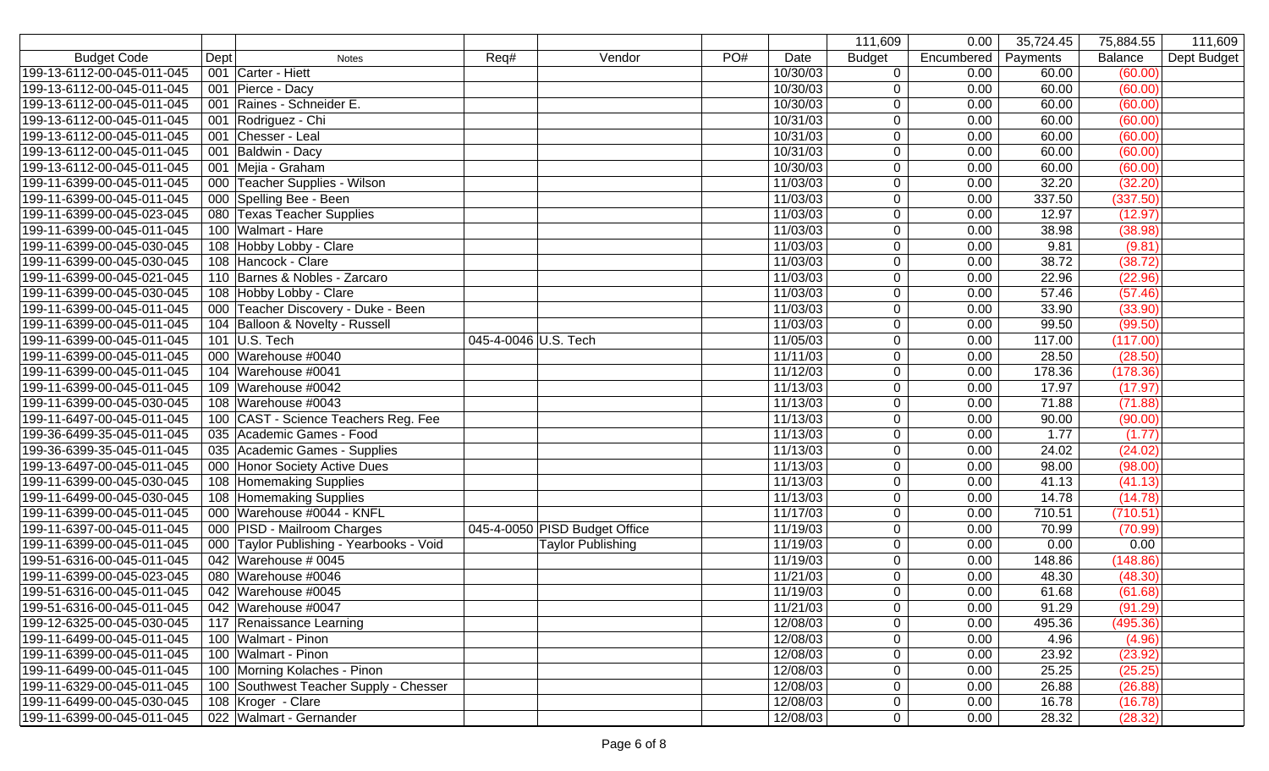|                            |                                          |                      |                               |     |          | 111,609        | 0.00       | 35,724.45 | 75,884.55 | 111,609     |
|----------------------------|------------------------------------------|----------------------|-------------------------------|-----|----------|----------------|------------|-----------|-----------|-------------|
| <b>Budget Code</b>         | Dept<br><b>Notes</b>                     | Req#                 | Vendor                        | PO# | Date     | <b>Budget</b>  | Encumbered | Payments  | Balance   | Dept Budget |
| 199-13-6112-00-045-011-045 | 001 Carter - Hiett                       |                      |                               |     | 10/30/03 | $\mathbf 0$    | 0.00       | 60.00     | (60.00)   |             |
| 199-13-6112-00-045-011-045 | 001 Pierce - Dacy                        |                      |                               |     | 10/30/03 | $\overline{0}$ | 0.00       | 60.00     | (60.00)   |             |
| 199-13-6112-00-045-011-045 | 001 Raines - Schneider E.                |                      |                               |     | 10/30/03 | $\mathbf 0$    | 0.00       | 60.00     | (60.00)   |             |
| 199-13-6112-00-045-011-045 | 001 Rodriguez - Chi                      |                      |                               |     | 10/31/03 | $\mathbf 0$    | 0.00       | 60.00     | (60.00)   |             |
| 199-13-6112-00-045-011-045 | 001 Chesser - Leal                       |                      |                               |     | 10/31/03 | $\mathbf 0$    | 0.00       | 60.00     | (60.00)   |             |
| 199-13-6112-00-045-011-045 | 001 Baldwin - Dacy                       |                      |                               |     | 10/31/03 | $\mathbf 0$    | 0.00       | 60.00     | (60.00)   |             |
| 199-13-6112-00-045-011-045 | 001 Mejia - Graham                       |                      |                               |     | 10/30/03 | $\mathbf 0$    | 0.00       | 60.00     | (60.00)   |             |
| 199-11-6399-00-045-011-045 | 000 Teacher Supplies - Wilson            |                      |                               |     | 11/03/03 | $\mathbf 0$    | 0.00       | 32.20     | (32.20)   |             |
| 199-11-6399-00-045-011-045 | 000 Spelling Bee - Been                  |                      |                               |     | 11/03/03 | $\mathbf 0$    | 0.00       | 337.50    | (337.50)  |             |
| 199-11-6399-00-045-023-045 | 080 Texas Teacher Supplies               |                      |                               |     | 11/03/03 | $\mathbf 0$    | 0.00       | 12.97     | (12.97)   |             |
| 199-11-6399-00-045-011-045 | 100 Walmart - Hare                       |                      |                               |     | 11/03/03 | $\mathbf 0$    | 0.00       | 38.98     | (38.98)   |             |
| 199-11-6399-00-045-030-045 | 108 Hobby Lobby - Clare                  |                      |                               |     | 11/03/03 | $\mathbf 0$    | 0.00       | 9.81      | (9.81)    |             |
| 199-11-6399-00-045-030-045 | 108 Hancock - Clare                      |                      |                               |     | 11/03/03 | $\mathbf 0$    | 0.00       | 38.72     | (38.72)   |             |
| 199-11-6399-00-045-021-045 | 110 Barnes & Nobles - Zarcaro            |                      |                               |     | 11/03/03 | $\mathbf 0$    | 0.00       | 22.96     | (22.96)   |             |
| 199-11-6399-00-045-030-045 | 108 Hobby Lobby - Clare                  |                      |                               |     | 11/03/03 | $\mathbf 0$    | 0.00       | 57.46     | (57.46)   |             |
| 199-11-6399-00-045-011-045 | 000 Teacher Discovery - Duke - Been      |                      |                               |     | 11/03/03 | $\mathbf 0$    | 0.00       | 33.90     | (33.90)   |             |
| 199-11-6399-00-045-011-045 | 104 Balloon & Novelty - Russell          |                      |                               |     | 11/03/03 | $\mathbf 0$    | 0.00       | 99.50     | (99.50)   |             |
| 199-11-6399-00-045-011-045 | 101 U.S. Tech                            | 045-4-0046 U.S. Tech |                               |     | 11/05/03 | $\mathbf 0$    | 0.00       | 117.00    | (117.00)  |             |
| 199-11-6399-00-045-011-045 | 000 Warehouse #0040                      |                      |                               |     | 11/11/03 | $\mathbf 0$    | 0.00       | 28.50     | (28.50)   |             |
| 199-11-6399-00-045-011-045 | 104 Warehouse #0041                      |                      |                               |     | 11/12/03 | $\mathbf 0$    | 0.00       | 178.36    | (178.36)  |             |
| 199-11-6399-00-045-011-045 | 109 Warehouse #0042                      |                      |                               |     | 11/13/03 | $\mathbf 0$    | 0.00       | 17.97     | (17.97)   |             |
| 199-11-6399-00-045-030-045 | 108 Warehouse #0043                      |                      |                               |     | 11/13/03 | $\overline{0}$ | 0.00       | 71.88     | (71.88)   |             |
| 199-11-6497-00-045-011-045 | 100 CAST - Science Teachers Reg. Fee     |                      |                               |     | 11/13/03 | $\mathbf 0$    | 0.00       | 90.00     | (90.00)   |             |
| 199-36-6499-35-045-011-045 | 035 Academic Games - Food                |                      |                               |     | 11/13/03 | $\mathbf 0$    | 0.00       | 1.77      | (1.77)    |             |
| 199-36-6399-35-045-011-045 | 035 Academic Games - Supplies            |                      |                               |     | 11/13/03 | $\mathbf 0$    | 0.00       | 24.02     | (24.02)   |             |
| 199-13-6497-00-045-011-045 | 000 Honor Society Active Dues            |                      |                               |     | 11/13/03 | $\mathbf 0$    | 0.00       | 98.00     | (98.00)   |             |
| 199-11-6399-00-045-030-045 | 108 Homemaking Supplies                  |                      |                               |     | 11/13/03 | $\mathbf 0$    | 0.00       | 41.13     | (41.13)   |             |
| 199-11-6499-00-045-030-045 | 108 Homemaking Supplies                  |                      |                               |     | 11/13/03 | $\mathbf 0$    | 0.00       | 14.78     | (14.78)   |             |
| 199-11-6399-00-045-011-045 | 000 Warehouse #0044 - KNFL               |                      |                               |     | 11/17/03 | $\mathbf 0$    | 0.00       | 710.51    | (710.51)  |             |
| 199-11-6397-00-045-011-045 | 000 PISD - Mailroom Charges              |                      | 045-4-0050 PISD Budget Office |     | 11/19/03 | $\mathbf 0$    | 0.00       | 70.99     | (70.99)   |             |
| 199-11-6399-00-045-011-045 | 000 Taylor Publishing - Yearbooks - Void |                      | <b>Taylor Publishing</b>      |     | 11/19/03 | $\mathbf 0$    | 0.00       | 0.00      | 0.00      |             |
| 199-51-6316-00-045-011-045 | 042 Warehouse # 0045                     |                      |                               |     | 11/19/03 | $\mathbf 0$    | 0.00       | 148.86    | (148.86)  |             |
| 199-11-6399-00-045-023-045 | 080 Warehouse #0046                      |                      |                               |     | 11/21/03 | $\mathbf 0$    | 0.00       | 48.30     | (48.30)   |             |
| 199-51-6316-00-045-011-045 | 042 Warehouse #0045                      |                      |                               |     | 11/19/03 | $\mathbf 0$    | 0.00       | 61.68     | (61.68)   |             |
| 199-51-6316-00-045-011-045 | 042 Warehouse #0047                      |                      |                               |     | 11/21/03 | $\overline{0}$ | 0.00       | 91.29     | (91.29)   |             |
| 199-12-6325-00-045-030-045 | 117 Renaissance Learning                 |                      |                               |     | 12/08/03 | $\mathbf 0$    | 0.00       | 495.36    | (495.36)  |             |
| 199-11-6499-00-045-011-045 | 100 Walmart - Pinon                      |                      |                               |     | 12/08/03 | $\mathbf 0$    | 0.00       | 4.96      | (4.96)    |             |
| 199-11-6399-00-045-011-045 | 100 Walmart - Pinon                      |                      |                               |     | 12/08/03 | $\mathbf 0$    | 0.00       | 23.92     | (23.92)   |             |
| 199-11-6499-00-045-011-045 | 100 Morning Kolaches - Pinon             |                      |                               |     | 12/08/03 | 0              | 0.00       | 25.25     | (25.25)   |             |
| 199-11-6329-00-045-011-045 | 100 Southwest Teacher Supply - Chesser   |                      |                               |     | 12/08/03 | 0              | 0.00       | 26.88     | (26.88)   |             |
| 199-11-6499-00-045-030-045 | 108 Kroger - Clare                       |                      |                               |     | 12/08/03 | $\mathbf 0$    | 0.00       | 16.78     | (16.78)   |             |
| 199-11-6399-00-045-011-045 | 022 Walmart - Gernander                  |                      |                               |     | 12/08/03 | $\overline{0}$ | 0.00       | 28.32     | (28.32)   |             |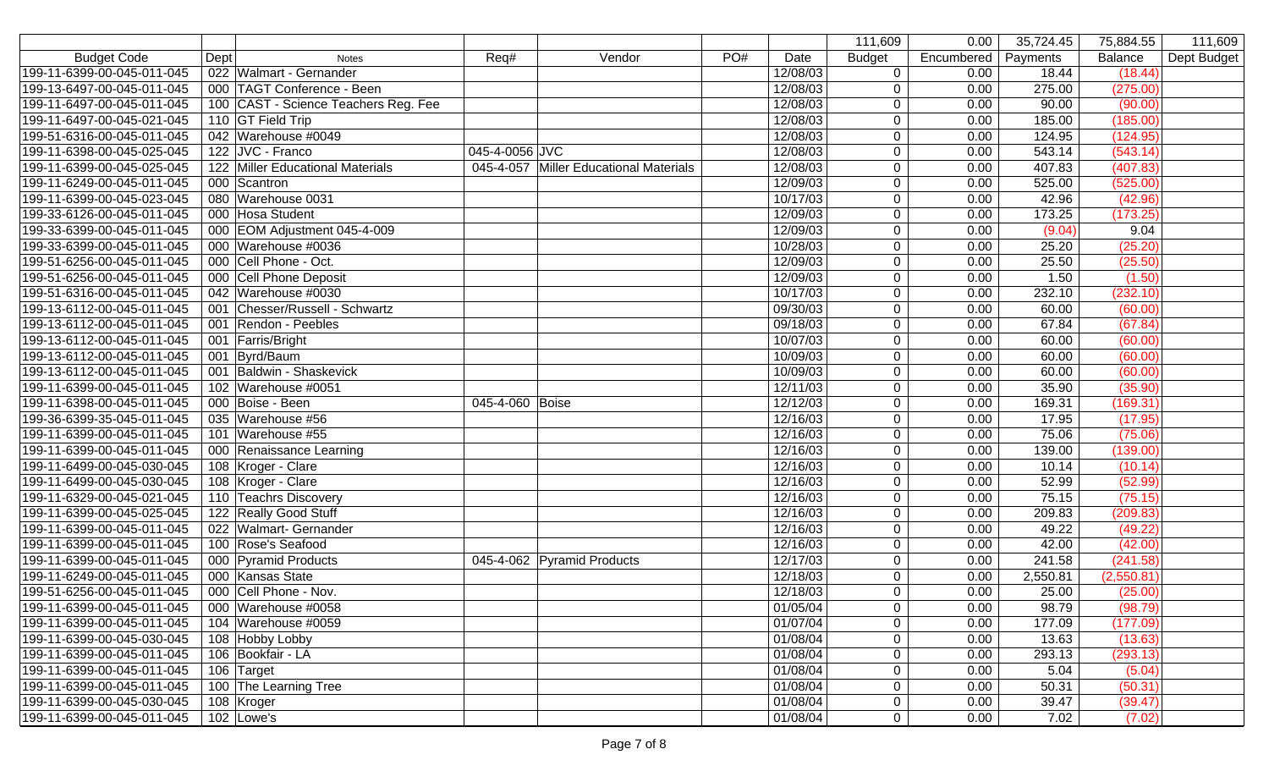|                            |                                      |                            |                                        |     |          | 111,609        | 0.00       | 35,724.45 | 75,884.55  | 111,609     |
|----------------------------|--------------------------------------|----------------------------|----------------------------------------|-----|----------|----------------|------------|-----------|------------|-------------|
| <b>Budget Code</b>         | Dept<br><b>Notes</b>                 | Req#                       | Vendor                                 | PO# | Date     | <b>Budget</b>  | Encumbered | Payments  | Balance    | Dept Budget |
| 199-11-6399-00-045-011-045 | 022 Walmart - Gernander              |                            |                                        |     | 12/08/03 | $\mathbf 0$    | 0.00       | 18.44     | (18.44)    |             |
| 199-13-6497-00-045-011-045 | 000 TAGT Conference - Been           |                            |                                        |     | 12/08/03 | $\overline{0}$ | 0.00       | 275.00    | (275.00)   |             |
| 199-11-6497-00-045-011-045 | 100 CAST - Science Teachers Reg. Fee |                            |                                        |     | 12/08/03 | $\overline{0}$ | 0.00       | 90.00     | (90.00)    |             |
| 199-11-6497-00-045-021-045 | 110 GT Field Trip                    |                            |                                        |     | 12/08/03 | $\overline{0}$ | 0.00       | 185.00    | (185.00)   |             |
| 199-51-6316-00-045-011-045 | 042 Warehouse #0049                  |                            |                                        |     | 12/08/03 | $\overline{0}$ | 0.00       | 124.95    | (124.95)   |             |
| 199-11-6398-00-045-025-045 | 122 JVC - Franco                     | 045-4-0056 JVC             |                                        |     | 12/08/03 | $\mathbf 0$    | 0.00       | 543.14    | (543.14)   |             |
| 199-11-6399-00-045-025-045 | 122 Miller Educational Materials     |                            | 045-4-057 Miller Educational Materials |     | 12/08/03 | $\mathbf 0$    | 0.00       | 407.83    | (407.83)   |             |
| 199-11-6249-00-045-011-045 | 000 Scantron                         |                            |                                        |     | 12/09/03 | $\overline{0}$ | 0.00       | 525.00    | (525.00)   |             |
| 199-11-6399-00-045-023-045 | 080 Warehouse 0031                   |                            |                                        |     | 10/17/03 | $\mathbf 0$    | 0.00       | 42.96     | (42.96)    |             |
| 199-33-6126-00-045-011-045 | 000 Hosa Student                     |                            |                                        |     | 12/09/03 | $\mathbf 0$    | 0.00       | 173.25    | (173.25)   |             |
| 199-33-6399-00-045-011-045 | 000 EOM Adjustment 045-4-009         |                            |                                        |     | 12/09/03 | $\mathbf 0$    | 0.00       | (9.04)    | 9.04       |             |
| 199-33-6399-00-045-011-045 | 000 Warehouse #0036                  |                            |                                        |     | 10/28/03 | $\overline{0}$ | 0.00       | 25.20     | (25.20)    |             |
| 199-51-6256-00-045-011-045 | 000 Cell Phone - Oct.                |                            |                                        |     | 12/09/03 | $\mathbf 0$    | 0.00       | 25.50     | (25.50)    |             |
| 199-51-6256-00-045-011-045 | 000 Cell Phone Deposit               |                            |                                        |     | 12/09/03 | $\overline{0}$ | 0.00       | 1.50      | (1.50)     |             |
| 199-51-6316-00-045-011-045 | 042 Warehouse #0030                  |                            |                                        |     | 10/17/03 | $\overline{0}$ | 0.00       | 232.10    | (232.10)   |             |
| 199-13-6112-00-045-011-045 | 001 Chesser/Russell - Schwartz       |                            |                                        |     | 09/30/03 | $\mathbf 0$    | 0.00       | 60.00     | (60.00)    |             |
| 199-13-6112-00-045-011-045 | 001 Rendon - Peebles                 |                            |                                        |     | 09/18/03 | $\overline{0}$ | 0.00       | 67.84     | (67.84)    |             |
| 199-13-6112-00-045-011-045 | 001 Farris/Bright                    |                            |                                        |     | 10/07/03 | $\overline{0}$ | 0.00       | 60.00     | (60.00)    |             |
| 199-13-6112-00-045-011-045 | 001 Byrd/Baum                        |                            |                                        |     | 10/09/03 | $\overline{0}$ | 0.00       | 60.00     | (60.00)    |             |
| 199-13-6112-00-045-011-045 | 001 Baldwin - Shaskevick             |                            |                                        |     | 10/09/03 | $\overline{0}$ | 0.00       | 60.00     | (60.00)    |             |
| 199-11-6399-00-045-011-045 | 102 Warehouse #0051                  |                            |                                        |     | 12/11/03 | $\mathbf 0$    | 0.00       | 35.90     | (35.90)    |             |
| 199-11-6398-00-045-011-045 | 000 Boise - Been                     | 045-4-060 Boise            |                                        |     | 12/12/03 | $\mathbf 0$    | 0.00       | 169.31    | (169.31)   |             |
| 199-36-6399-35-045-011-045 | 035 Warehouse #56                    |                            |                                        |     | 12/16/03 | $\mathbf 0$    | 0.00       | 17.95     | (17.95)    |             |
| 199-11-6399-00-045-011-045 | 101 Warehouse #55                    |                            |                                        |     | 12/16/03 | $\overline{0}$ | 0.00       | 75.06     | (75.06)    |             |
| 199-11-6399-00-045-011-045 | 000 Renaissance Learning             |                            |                                        |     | 12/16/03 | $\overline{0}$ | 0.00       | 139.00    | (139.00)   |             |
| 199-11-6499-00-045-030-045 | 108 Kroger - Clare                   |                            |                                        |     | 12/16/03 | $\overline{0}$ | 0.00       | 10.14     | (10.14)    |             |
| 199-11-6499-00-045-030-045 | 108 Kroger - Clare                   |                            |                                        |     | 12/16/03 | $\overline{0}$ | 0.00       | 52.99     | (52.99)    |             |
| 199-11-6329-00-045-021-045 | 110 Teachrs Discovery                |                            |                                        |     | 12/16/03 | $\overline{0}$ | 0.00       | 75.15     | (75.15)    |             |
| 199-11-6399-00-045-025-045 | 122 Really Good Stuff                |                            |                                        |     | 12/16/03 | $\overline{0}$ | 0.00       | 209.83    | (209.83)   |             |
| 199-11-6399-00-045-011-045 | 022 Walmart- Gernander               |                            |                                        |     | 12/16/03 | $\overline{0}$ | 0.00       | 49.22     | (49.22)    |             |
| 199-11-6399-00-045-011-045 | 100 Rose's Seafood                   |                            |                                        |     | 12/16/03 | $\overline{0}$ | 0.00       | 42.00     | (42.00)    |             |
| 199-11-6399-00-045-011-045 | 000 Pyramid Products                 | 045-4-062 Pyramid Products |                                        |     | 12/17/03 | $\mathbf 0$    | 0.00       | 241.58    | (241.58)   |             |
| 199-11-6249-00-045-011-045 | 000 Kansas State                     |                            |                                        |     | 12/18/03 | $\overline{0}$ | 0.00       | 2,550.81  | (2,550.81) |             |
| 199-51-6256-00-045-011-045 | 000 Cell Phone - Nov.                |                            |                                        |     | 12/18/03 | $\overline{0}$ | 0.00       | 25.00     | (25.00)    |             |
| 199-11-6399-00-045-011-045 | 000 Warehouse #0058                  |                            |                                        |     | 01/05/04 | 0              | 0.00       | 98.79     | (98.79)    |             |
| 199-11-6399-00-045-011-045 | 104 Warehouse #0059                  |                            |                                        |     | 01/07/04 | 0              | 0.00       | 177.09    | (177.09)   |             |
| 199-11-6399-00-045-030-045 | 108 Hobby Lobby                      |                            |                                        |     | 01/08/04 | $\mathbf 0$    | 0.00       | 13.63     | (13.63)    |             |
| 199-11-6399-00-045-011-045 | 106 Bookfair - LA                    |                            |                                        |     | 01/08/04 | $\overline{0}$ | 0.00       | 293.13    | (293.13)   |             |
| 199-11-6399-00-045-011-045 | 106 Target                           |                            |                                        |     | 01/08/04 | $\overline{0}$ | 0.00       | 5.04      | (5.04)     |             |
| 199-11-6399-00-045-011-045 | 100 The Learning Tree                |                            |                                        |     | 01/08/04 | $\mathbf 0$    | 0.00       | 50.31     | (50.31)    |             |
| 199-11-6399-00-045-030-045 | 108 Kroger                           |                            |                                        |     | 01/08/04 | $\overline{0}$ | 0.00       | 39.47     | (39.47)    |             |
| 199-11-6399-00-045-011-045 | $102$ Lowe's                         |                            |                                        |     | 01/08/04 | $\overline{0}$ | 0.00       | 7.02      | (7.02)     |             |